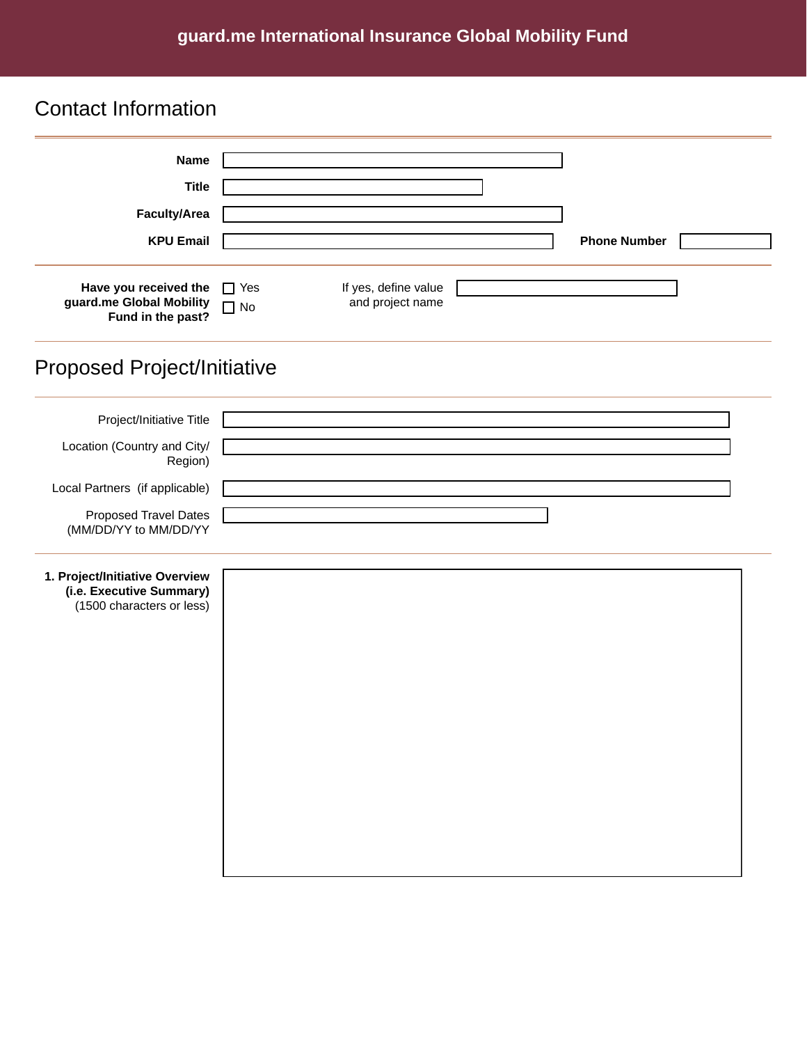#### **guard.me International Insurance Global Mobility Fund**

## Contact Information

| <b>Name</b>                                                                             |                                                                     |  |
|-----------------------------------------------------------------------------------------|---------------------------------------------------------------------|--|
| <b>Title</b>                                                                            |                                                                     |  |
| Faculty/Area                                                                            |                                                                     |  |
| <b>KPU Email</b>                                                                        | <b>Phone Number</b>                                                 |  |
| Have you received the<br>guard.me Global Mobility<br>Fund in the past?                  | If yes, define value<br>$\Box$ Yes<br>and project name<br>$\Box$ No |  |
| <b>Proposed Project/Initiative</b>                                                      |                                                                     |  |
| Project/Initiative Title                                                                |                                                                     |  |
| Location (Country and City/<br>Region)                                                  |                                                                     |  |
| Local Partners (if applicable)                                                          |                                                                     |  |
| <b>Proposed Travel Dates</b><br>(MM/DD/YY to MM/DD/YY                                   |                                                                     |  |
| 1. Project/Initiative Overview<br>(i.e. Executive Summary)<br>(1500 characters or less) |                                                                     |  |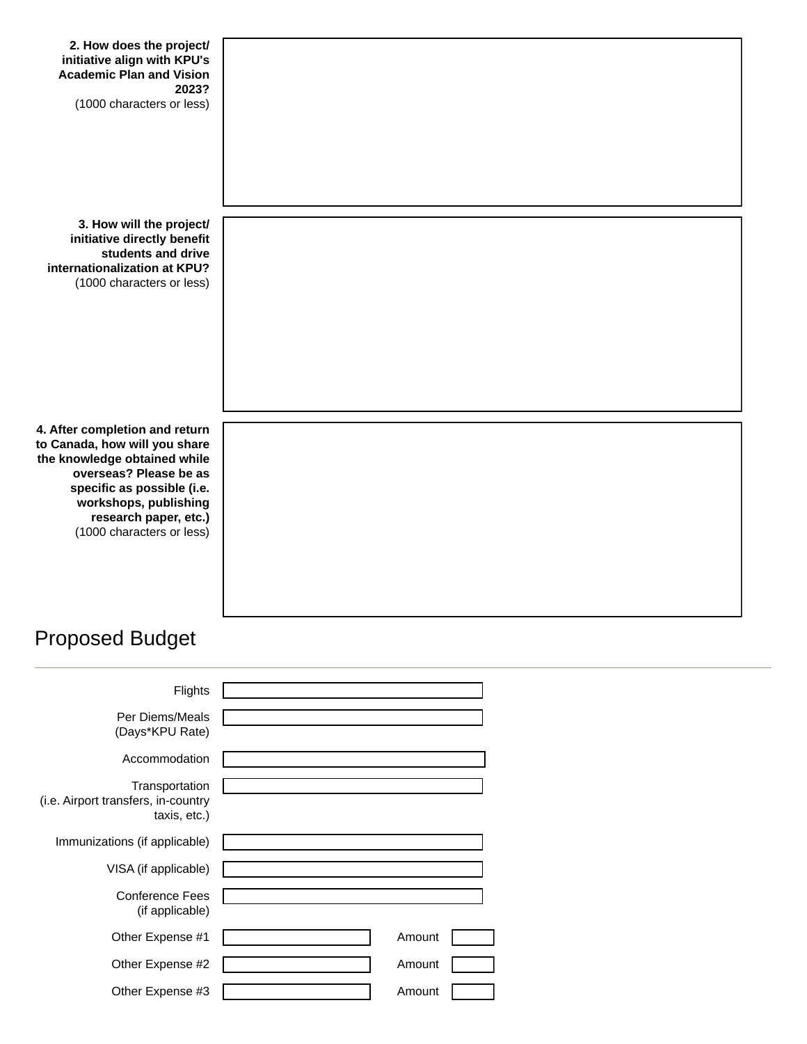# Proposed Budget

| Flights                                                               |        |  |
|-----------------------------------------------------------------------|--------|--|
| Per Diems/Meals<br>(Days*KPU Rate)                                    |        |  |
| Accommodation                                                         |        |  |
| Transportation<br>(i.e. Airport transfers, in-country<br>taxis, etc.) |        |  |
| Immunizations (if applicable)                                         |        |  |
| VISA (if applicable)                                                  |        |  |
| <b>Conference Fees</b><br>(if applicable)                             |        |  |
| Other Expense #1                                                      | Amount |  |
| Other Expense #2                                                      | Amount |  |
| Other Expense #3                                                      | Amount |  |
|                                                                       |        |  |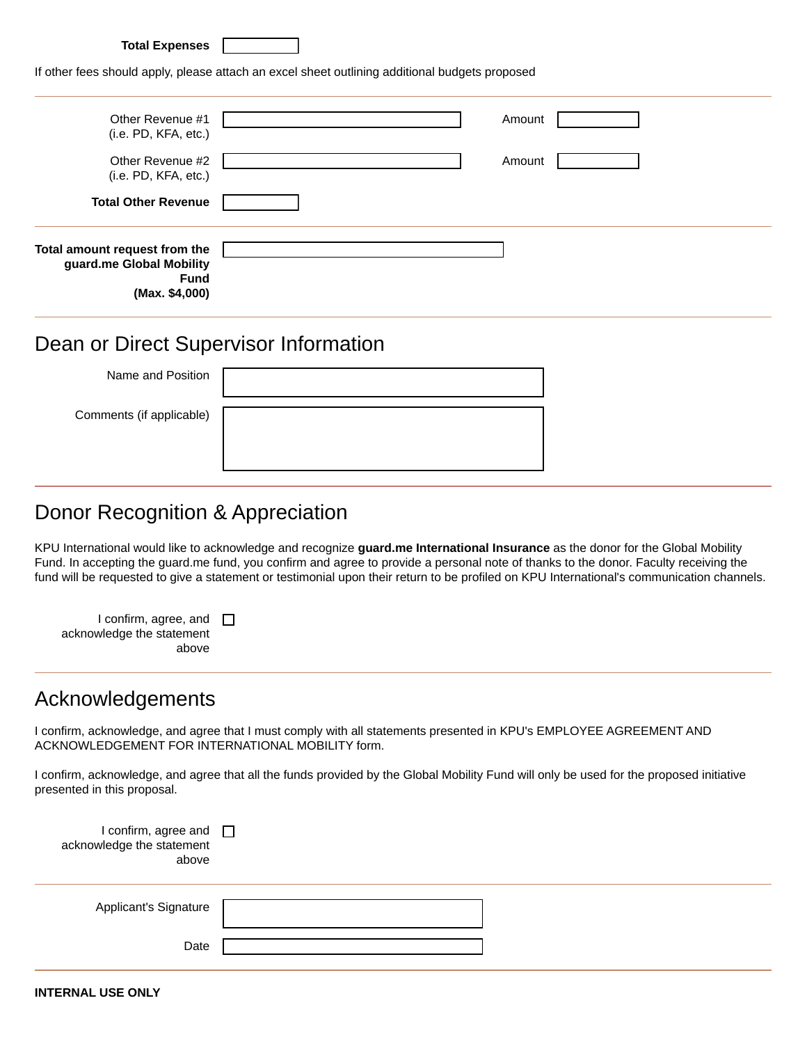| <b>Total Expenses</b> |  |
|-----------------------|--|
|-----------------------|--|

If other fees should apply, please attach an excel sheet outlining additional budgets proposed

| Other Revenue #1<br>(i.e. PD, KFA, etc.)                                                   | Amount |
|--------------------------------------------------------------------------------------------|--------|
| Other Revenue #2<br>(i.e. PD, KFA, etc.)                                                   | Amount |
| <b>Total Other Revenue</b>                                                                 |        |
| Total amount request from the<br>guard.me Global Mobility<br><b>Fund</b><br>(Max. \$4,000) |        |

#### Dean or Direct Supervisor Information

| Name and Position        |  |
|--------------------------|--|
| Comments (if applicable) |  |
|                          |  |

### Donor Recognition & Appreciation

KPU International would like to acknowledge and recognize **guard.me International Insurance** as the donor for the Global Mobility Fund. In accepting the guard.me fund, you confirm and agree to provide a personal note of thanks to the donor. Faculty receiving the fund will be requested to give a statement or testimonial upon their return to be profiled on KPU International's communication channels.

| I confirm, agree, and $\Box$<br>acknowledge the statement<br>above |  |  |
|--------------------------------------------------------------------|--|--|
|                                                                    |  |  |

#### Acknowledgements

I confirm, acknowledge, and agree that I must comply with all statements presented in KPU's EMPLOYEE AGREEMENT AND ACKNOWLEDGEMENT FOR INTERNATIONAL MOBILITY form.

I confirm, acknowledge, and agree that all the funds provided by the Global Mobility Fund will only be used for the proposed initiative presented in this proposal.

| 1 confirm, agree and □<br>acknowledge the statement<br>above |  |
|--------------------------------------------------------------|--|
| Applicant's Signature                                        |  |
| Date                                                         |  |